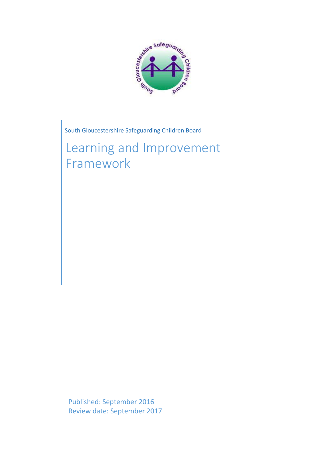

South Gloucestershire Safeguarding Children Board

Learning and Improvement Framework

Published: September 2016 Review date: September 2017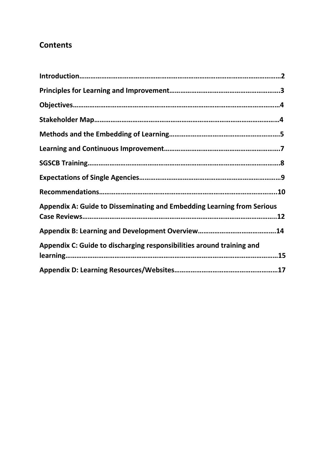# **Contents**

| <b>Appendix A: Guide to Disseminating and Embedding Learning from Serious</b> |
|-------------------------------------------------------------------------------|
|                                                                               |
| Appendix C: Guide to discharging responsibilities around training and         |
|                                                                               |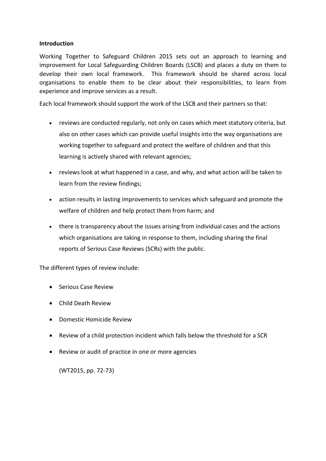#### **Introduction**

Working Together to Safeguard Children 2015 sets out an approach to learning and improvement for Local Safeguarding Children Boards (LSCB) and places a duty on them to develop their own local framework. This framework should be shared across local organisations to enable them to be clear about their responsibilities, to learn from experience and improve services as a result.

Each local framework should support the work of the LSCB and their partners so that:

- reviews are conducted regularly, not only on cases which meet statutory criteria, but also on other cases which can provide useful insights into the way organisations are working together to safeguard and protect the welfare of children and that this learning is actively shared with relevant agencies;
- reviews look at what happened in a case, and why, and what action will be taken to learn from the review findings;
- action results in lasting improvements to services which safeguard and promote the welfare of children and help protect them from harm; and
- there is transparency about the issues arising from individual cases and the actions which organisations are taking in response to them, including sharing the final reports of Serious Case Reviews (SCRs) with the public.

The different types of review include:

- Serious Case Review
- Child Death Review
- Domestic Homicide Review
- Review of a child protection incident which falls below the threshold for a SCR
- Review or audit of practice in one or more agencies

(WT2015, pp. 72-73)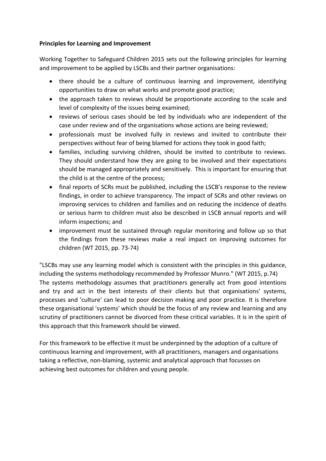#### **Principles for Learning and Improvement**

Working Together to Safeguard Children 2015 sets out the following principles for learning and improvement to be applied by LSCBs and their partner organisations:

- there should be a culture of continuous learning and improvement, identifying opportunities to draw on what works and promote good practice;
- the approach taken to reviews should be proportionate according to the scale and level of complexity of the issues being examined;
- reviews of serious cases should be led by individuals who are independent of the case under review and of the organisations whose actions are being reviewed;
- professionals must be involved fully in reviews and invited to contribute their perspectives without fear of being blamed for actions they took in good faith;
- families, including surviving children, should be invited to contribute to reviews. They should understand how they are going to be involved and their expectations should be managed appropriately and sensitively. This is important for ensuring that the child is at the centre of the process;
- final reports of SCRs must be published, including the LSCB's response to the review findings, in order to achieve transparency. The impact of SCRs and other reviews on improving services to children and families and on reducing the incidence of deaths or serious harm to children must also be described in LSCB annual reports and will inform inspections; and
- improvement must be sustained through regular monitoring and follow up so that the findings from these reviews make a real impact on improving outcomes for children (WT 2015, pp. 73-74)

"LSCBs may use any learning model which is consistent with the principles in this guidance, including the systems methodology recommended by Professor Munro." (WT 2015, p.74) The systems methodology assumes that practitioners generally act from good intentions and try and act in the best interests of their clients but that organisations' systems, processes and 'culture' can lead to poor decision making and poor practice. It is therefore these organisational 'systems' which should be the focus of any review and learning and any scrutiny of practitioners cannot be divorced from these critical variables. It is in the spirit of this approach that this framework should be viewed.

For this framework to be effective it must be underpinned by the adoption of a culture of continuous learning and improvement, with all practitioners, managers and organisations taking a reflective, non-blaming, systemic and analytical approach that focusses on achieving best outcomes for children and young people.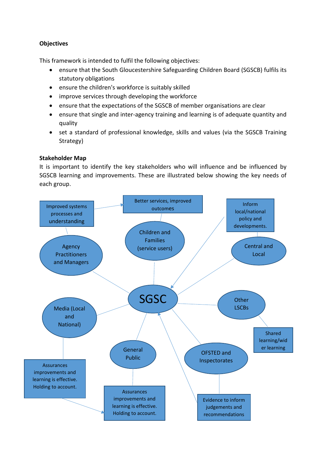# **Objectives**

This framework is intended to fulfil the following objectives:

- ensure that the South Gloucestershire Safeguarding Children Board (SGSCB) fulfils its statutory obligations
- ensure the children's workforce is suitably skilled
- improve services through developing the workforce
- ensure that the expectations of the SGSCB of member organisations are clear
- ensure that single and inter-agency training and learning is of adequate quantity and quality
- set a standard of professional knowledge, skills and values (via the SGSCB Training Strategy)

#### **Stakeholder Map**

It is important to identify the key stakeholders who will influence and be influenced by SGSCB learning and improvements. These are illustrated below showing the key needs of each group.

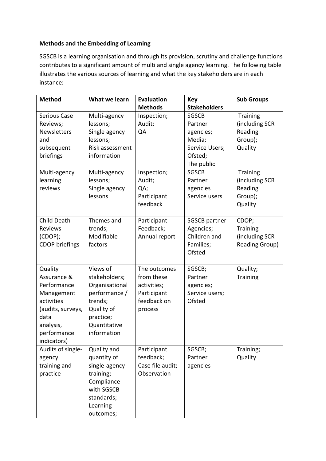# **Methods and the Embedding of Learning**

SGSCB is a learning organisation and through its provision, scrutiny and challenge functions contributes to a significant amount of multi and single agency learning. The following table illustrates the various sources of learning and what the key stakeholders are in each instance:

| <b>Method</b>         | What we learn   | <b>Evaluation</b> | <b>Key</b>           | <b>Sub Groups</b>     |
|-----------------------|-----------------|-------------------|----------------------|-----------------------|
|                       |                 | <b>Methods</b>    | <b>Stakeholders</b>  |                       |
| <b>Serious Case</b>   | Multi-agency    | Inspection;       | <b>SGSCB</b>         | <b>Training</b>       |
| Reviews;              | lessons;        | Audit;            | Partner              | (including SCR        |
| Newsletters           | Single agency   | QA                | agencies;            | Reading               |
| and                   | lessons;        |                   | Media;               | Group);               |
| subsequent            | Risk assessment |                   | Service Users;       | Quality               |
| briefings             | information     |                   | Ofsted;              |                       |
|                       |                 |                   | The public           |                       |
| Multi-agency          | Multi-agency    | Inspection;       | <b>SGSCB</b>         | <b>Training</b>       |
| learning              | lessons;        | Audit;            | Partner              | (including SCR        |
| reviews               | Single agency   | QA;               | agencies             | Reading               |
|                       | lessons         | Participant       | Service users        | Group);               |
|                       |                 | feedback          |                      | Quality               |
|                       |                 |                   |                      |                       |
| Child Death           | Themes and      | Participant       | <b>SGSCB</b> partner | CDOP;                 |
| <b>Reviews</b>        | trends;         | Feedback;         | Agencies;            | Training              |
| (CDOP);               | Modifiable      | Annual report     | Children and         | (including SCR        |
| <b>CDOP</b> briefings | factors         |                   | Families;            | <b>Reading Group)</b> |
|                       |                 |                   | Ofsted               |                       |
|                       |                 |                   |                      |                       |
| Quality               | Views of        | The outcomes      | SGSCB;               | Quality;              |
| Assurance &           | stakeholders;   | from these        | Partner              | Training              |
| Performance           | Organisational  | activities;       | agencies;            |                       |
| Management            | performance /   | Participant       | Service users;       |                       |
| activities            | trends;         | feedback on       | Ofsted               |                       |
| (audits, surveys,     | Quality of      | process           |                      |                       |
| data                  | practice;       |                   |                      |                       |
| analysis,             | Quantitative    |                   |                      |                       |
| performance           | information     |                   |                      |                       |
| indicators)           |                 |                   |                      |                       |
| Audits of single-     | Quality and     | Participant       | SGSCB;               | Training;             |
| agency                | quantity of     | feedback;         | Partner              | Quality               |
| training and          | single-agency   | Case file audit;  | agencies             |                       |
| practice              | training;       | Observation       |                      |                       |
|                       | Compliance      |                   |                      |                       |
|                       | with SGSCB      |                   |                      |                       |
|                       | standards;      |                   |                      |                       |
|                       | Learning        |                   |                      |                       |
|                       | outcomes;       |                   |                      |                       |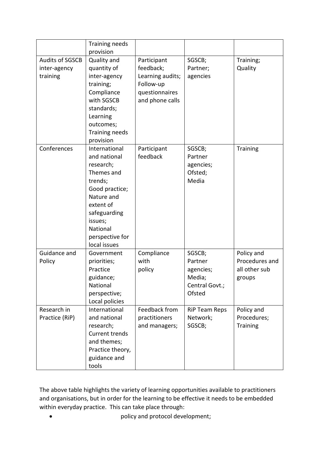|                        | Training needs        |                  |                      |                 |
|------------------------|-----------------------|------------------|----------------------|-----------------|
|                        | provision             |                  |                      |                 |
| <b>Audits of SGSCB</b> | Quality and           | Participant      | SGSCB;               | Training;       |
| inter-agency           | quantity of           | feedback;        | Partner;             | Quality         |
| training               | inter-agency          | Learning audits; | agencies             |                 |
|                        | training;             | Follow-up        |                      |                 |
|                        | Compliance            | questionnaires   |                      |                 |
|                        | with SGSCB            | and phone calls  |                      |                 |
|                        | standards;            |                  |                      |                 |
|                        | Learning              |                  |                      |                 |
|                        | outcomes;             |                  |                      |                 |
|                        | Training needs        |                  |                      |                 |
|                        | provision             |                  |                      |                 |
| Conferences            | International         | Participant      | SGSCB;               | <b>Training</b> |
|                        | and national          | feedback         | Partner              |                 |
|                        | research;             |                  | agencies;            |                 |
|                        | Themes and            |                  | Ofsted;              |                 |
|                        | trends;               |                  | Media                |                 |
|                        | Good practice;        |                  |                      |                 |
|                        | Nature and            |                  |                      |                 |
|                        | extent of             |                  |                      |                 |
|                        | safeguarding          |                  |                      |                 |
|                        | issues;               |                  |                      |                 |
|                        | National              |                  |                      |                 |
|                        | perspective for       |                  |                      |                 |
|                        | local issues          |                  |                      |                 |
| Guidance and           | Government            | Compliance       | SGSCB;               | Policy and      |
| Policy                 | priorities;           | with             | Partner              | Procedures and  |
|                        | Practice              | policy           | agencies;            | all other sub   |
|                        | guidance;             |                  | Media;               | groups          |
|                        | National              |                  | Central Govt.;       |                 |
|                        | perspective;          |                  | Ofsted               |                 |
|                        | Local policies        |                  |                      |                 |
| Research in            | International         | Feedback from    | <b>RiP Team Reps</b> | Policy and      |
| Practice (RiP)         | and national          | practitioners    | Network;             | Procedures;     |
|                        | research;             | and managers;    | SGSCB;               | <b>Training</b> |
|                        | <b>Current trends</b> |                  |                      |                 |
|                        | and themes;           |                  |                      |                 |
|                        | Practice theory,      |                  |                      |                 |
|                        | guidance and          |                  |                      |                 |
|                        | tools                 |                  |                      |                 |

The above table highlights the variety of learning opportunities available to practitioners and organisations, but in order for the learning to be effective it needs to be embedded within everyday practice. This can take place through:

policy and protocol development;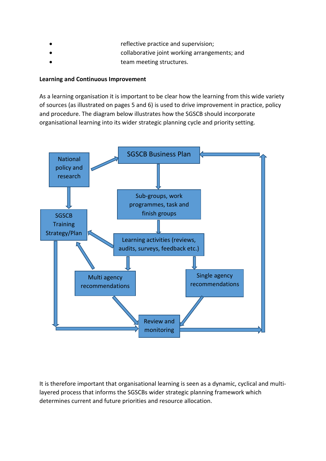- reflective practice and supervision;
	- collaborative joint working arrangements; and
- team meeting structures.

# **Learning and Continuous Improvement**

As a learning organisation it is important to be clear how the learning from this wide variety of sources (as illustrated on pages 5 and 6) is used to drive improvement in practice, policy and procedure. The diagram below illustrates how the SGSCB should incorporate organisational learning into its wider strategic planning cycle and priority setting.



It is therefore important that organisational learning is seen as a dynamic, cyclical and multilayered process that informs the SGSCBs wider strategic planning framework which determines current and future priorities and resource allocation.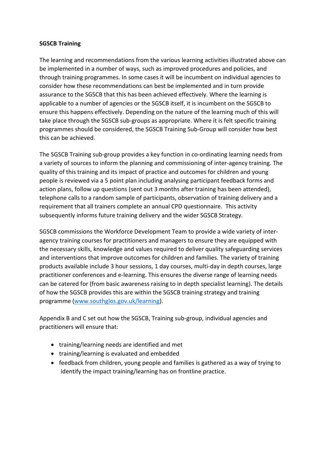#### **SGSCB Training**

The learning and recommendations from the various learning activities illustrated above can be implemented in a number of ways, such as improved procedures and policies, and through training programmes. In some cases it will be incumbent on individual agencies to consider how these recommendations can best be implemented and in turn provide assurance to the SGSCB that this has been achieved effectively. Where the learning is applicable to a number of agencies or the SGSCB itself, it is incumbent on the SGSCB to ensure this happens effectively. Depending on the nature of the learning much of this will take place through the SGSCB sub-groups as appropriate. Where it is felt specific training programmes should be considered, the SGSCB Training Sub-Group will consider how best this can be achieved.

The SGSCB Training sub-group provides a key function in co-ordinating learning needs from a variety of sources to inform the planning and commissioning of inter-agency training. The quality of this training and its impact of practice and outcomes for children and young people is reviewed via a 5 point plan including analysing participant feedback forms and action plans, follow up questions (sent out 3 months after training has been attended), telephone calls to a random sample of participants, observation of training delivery and a requirement that all trainers complete an annual CPD questionnaire. This activity subsequently informs future training delivery and the wider SGSCB Strategy.

SGSCB commissions the Workforce Development Team to provide a wide variety of interagency training courses for practitioners and managers to ensure they are equipped with the necessary skills, knowledge and values required to deliver quality safeguarding services and interventions that improve outcomes for children and families. The variety of training products available include 3 hour sessions, 1 day courses, multi-day in depth courses, large practitioner conferences and e-learning. This ensures the diverse range of learning needs can be catered for (from basic awareness raising to in depth specialist learning). The details of how the SGSCB provides this are within the SGSCB training strategy and training programme (www.southglos.gov.uk/learning).

Appendix B and C set out how the SGSCB, Training sub-group, individual agencies and practitioners will ensure that:

- training/learning needs are identified and met
- training/learning is evaluated and embedded
- feedback from children, young people and families is gathered as a way of trying to identify the impact training/learning has on frontline practice.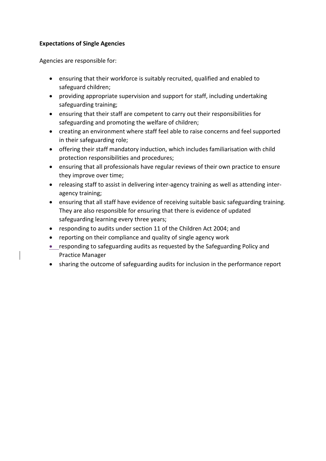### **Expectations of Single Agencies**

Agencies are responsible for:

- ensuring that their workforce is suitably recruited, qualified and enabled to safeguard children;
- providing appropriate supervision and support for staff, including undertaking safeguarding training;
- ensuring that their staff are competent to carry out their responsibilities for safeguarding and promoting the welfare of children;
- creating an environment where staff feel able to raise concerns and feel supported in their safeguarding role;
- offering their staff mandatory induction, which includes familiarisation with child protection responsibilities and procedures;
- ensuring that all professionals have regular reviews of their own practice to ensure they improve over time;
- releasing staff to assist in delivering inter-agency training as well as attending interagency training;
- ensuring that all staff have evidence of receiving suitable basic safeguarding training. They are also responsible for ensuring that there is evidence of updated safeguarding learning every three years;
- responding to audits under section 11 of the Children Act 2004; and
- reporting on their compliance and quality of single agency work
- responding to safeguarding audits as requested by the Safeguarding Policy and Practice Manager
- sharing the outcome of safeguarding audits for inclusion in the performance report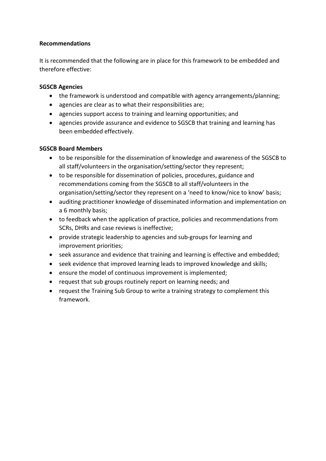### **Recommendations**

It is recommended that the following are in place for this framework to be embedded and therefore effective:

#### **SGSCB Agencies**

- the framework is understood and compatible with agency arrangements/planning;
- agencies are clear as to what their responsibilities are;
- agencies support access to training and learning opportunities; and
- agencies provide assurance and evidence to SGSCB that training and learning has been embedded effectively.

#### **SGSCB Board Members**

- to be responsible for the dissemination of knowledge and awareness of the SGSCB to all staff/volunteers in the organisation/setting/sector they represent;
- to be responsible for dissemination of policies, procedures, guidance and recommendations coming from the SGSCB to all staff/volunteers in the organisation/setting/sector they represent on a 'need to know/nice to know' basis;
- auditing practitioner knowledge of disseminated information and implementation on a 6 monthly basis;
- to feedback when the application of practice, policies and recommendations from SCRs, DHRs and case reviews is ineffective;
- provide strategic leadership to agencies and sub-groups for learning and improvement priorities;
- seek assurance and evidence that training and learning is effective and embedded;
- seek evidence that improved learning leads to improved knowledge and skills;
- ensure the model of continuous improvement is implemented;
- request that sub groups routinely report on learning needs; and
- request the Training Sub Group to write a training strategy to complement this framework.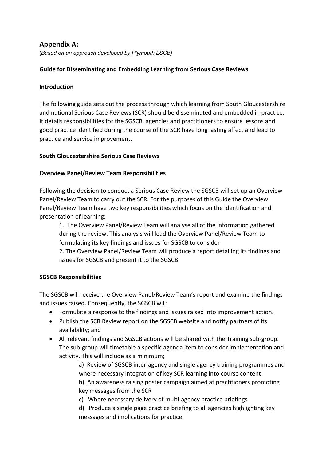# **Appendix A:**

(*Based on an approach developed by Plymouth LSCB)*

# **Guide for Disseminating and Embedding Learning from Serious Case Reviews**

#### **Introduction**

The following guide sets out the process through which learning from South Gloucestershire and national Serious Case Reviews (SCR) should be disseminated and embedded in practice. It details responsibilities for the SGSCB, agencies and practitioners to ensure lessons and good practice identified during the course of the SCR have long lasting affect and lead to practice and service improvement.

#### **South Gloucestershire Serious Case Reviews**

#### **Overview Panel/Review Team Responsibilities**

Following the decision to conduct a Serious Case Review the SGSCB will set up an Overview Panel/Review Team to carry out the SCR. For the purposes of this Guide the Overview Panel/Review Team have two key responsibilities which focus on the identification and presentation of learning:

1. The Overview Panel/Review Team will analyse all of the information gathered during the review. This analysis will lead the Overview Panel/Review Team to formulating its key findings and issues for SGSCB to consider 2. The Overview Panel/Review Team will produce a report detailing its findings and issues for SGSCB and present it to the SGSCB

#### **SGSCB Responsibilities**

The SGSCB will receive the Overview Panel/Review Team's report and examine the findings and issues raised. Consequently, the SGSCB will:

- Formulate a response to the findings and issues raised into improvement action.
- Publish the SCR Review report on the SGSCB website and notify partners of its availability; and
- All relevant findings and SGSCB actions will be shared with the Training sub-group. The sub-group will timetable a specific agenda item to consider implementation and activity. This will include as a minimum;

a) Review of SGSCB inter-agency and single agency training programmes and where necessary integration of key SCR learning into course content

b) An awareness raising poster campaign aimed at practitioners promoting key messages from the SCR

c) Where necessary delivery of multi-agency practice briefings

d) Produce a single page practice briefing to all agencies highlighting key messages and implications for practice.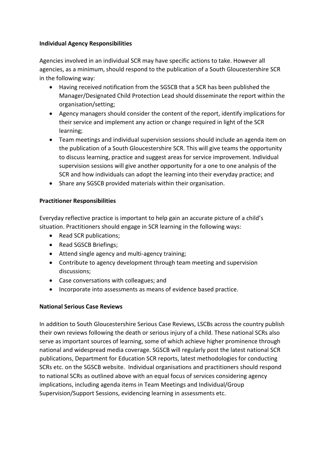# **Individual Agency Responsibilities**

Agencies involved in an individual SCR may have specific actions to take. However all agencies, as a minimum, should respond to the publication of a South Gloucestershire SCR in the following way:

- Having received notification from the SGSCB that a SCR has been published the Manager/Designated Child Protection Lead should disseminate the report within the organisation/setting;
- Agency managers should consider the content of the report, identify implications for their service and implement any action or change required in light of the SCR learning;
- Team meetings and individual supervision sessions should include an agenda item on the publication of a South Gloucestershire SCR. This will give teams the opportunity to discuss learning, practice and suggest areas for service improvement. Individual supervision sessions will give another opportunity for a one to one analysis of the SCR and how individuals can adopt the learning into their everyday practice; and
- Share any SGSCB provided materials within their organisation.

# **Practitioner Responsibilities**

Everyday reflective practice is important to help gain an accurate picture of a child's situation. Practitioners should engage in SCR learning in the following ways:

- Read SCR publications;
- Read SGSCB Briefings;
- Attend single agency and multi-agency training;
- Contribute to agency development through team meeting and supervision discussions;
- Case conversations with colleagues; and
- Incorporate into assessments as means of evidence based practice.

# **National Serious Case Reviews**

In addition to South Gloucestershire Serious Case Reviews, LSCBs across the country publish their own reviews following the death or serious injury of a child. These national SCRs also serve as important sources of learning, some of which achieve higher prominence through national and widespread media coverage. SGSCB will regularly post the latest national SCR publications, Department for Education SCR reports, latest methodologies for conducting SCRs etc. on the SGSCB website. Individual organisations and practitioners should respond to national SCRs as outlined above with an equal focus of services considering agency implications, including agenda items in Team Meetings and Individual/Group Supervision/Support Sessions, evidencing learning in assessments etc.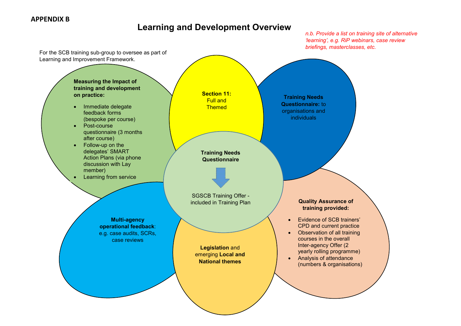# **Learning and Development Overview**

*n.b. Provide a list on training site of alternative 'learning', e.g. RiP webinars, case review briefings, masterclasses, etc.*

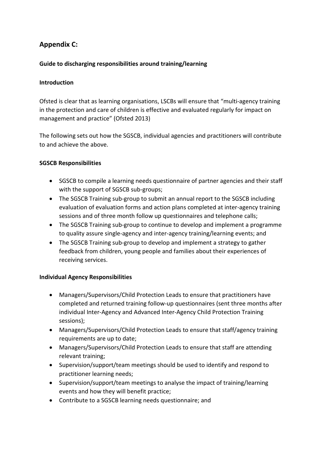# **Appendix C:**

# **Guide to discharging responsibilities around training/learning**

#### **Introduction**

Ofsted is clear that as learning organisations, LSCBs will ensure that "multi-agency training in the protection and care of children is effective and evaluated regularly for impact on management and practice" (Ofsted 2013)

The following sets out how the SGSCB, individual agencies and practitioners will contribute to and achieve the above.

#### **SGSCB Responsibilities**

- SGSCB to compile a learning needs questionnaire of partner agencies and their staff with the support of SGSCB sub-groups;
- The SGSCB Training sub-group to submit an annual report to the SGSCB including evaluation of evaluation forms and action plans completed at inter-agency training sessions and of three month follow up questionnaires and telephone calls;
- The SGSCB Training sub-group to continue to develop and implement a programme to quality assure single-agency and inter-agency training/learning events; and
- The SGSCB Training sub-group to develop and implement a strategy to gather feedback from children, young people and families about their experiences of receiving services.

#### **Individual Agency Responsibilities**

- Managers/Supervisors/Child Protection Leads to ensure that practitioners have completed and returned training follow-up questionnaires (sent three months after individual Inter-Agency and Advanced Inter-Agency Child Protection Training sessions);
- Managers/Supervisors/Child Protection Leads to ensure that staff/agency training requirements are up to date;
- Managers/Supervisors/Child Protection Leads to ensure that staff are attending relevant training;
- Supervision/support/team meetings should be used to identify and respond to practitioner learning needs;
- Supervision/support/team meetings to analyse the impact of training/learning events and how they will benefit practice;
- Contribute to a SGSCB learning needs questionnaire; and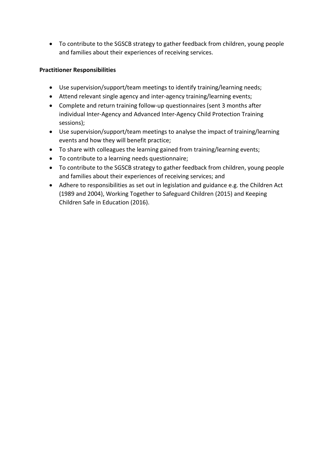To contribute to the SGSCB strategy to gather feedback from children, young people and families about their experiences of receiving services.

## **Practitioner Responsibilities**

- Use supervision/support/team meetings to identify training/learning needs;
- Attend relevant single agency and inter-agency training/learning events;
- Complete and return training follow-up questionnaires (sent 3 months after individual Inter-Agency and Advanced Inter-Agency Child Protection Training sessions);
- Use supervision/support/team meetings to analyse the impact of training/learning events and how they will benefit practice;
- To share with colleagues the learning gained from training/learning events;
- To contribute to a learning needs questionnaire;
- To contribute to the SGSCB strategy to gather feedback from children, young people and families about their experiences of receiving services; and
- Adhere to responsibilities as set out in legislation and guidance e.g. the Children Act (1989 and 2004), Working Together to Safeguard Children (2015) and Keeping Children Safe in Education (2016).